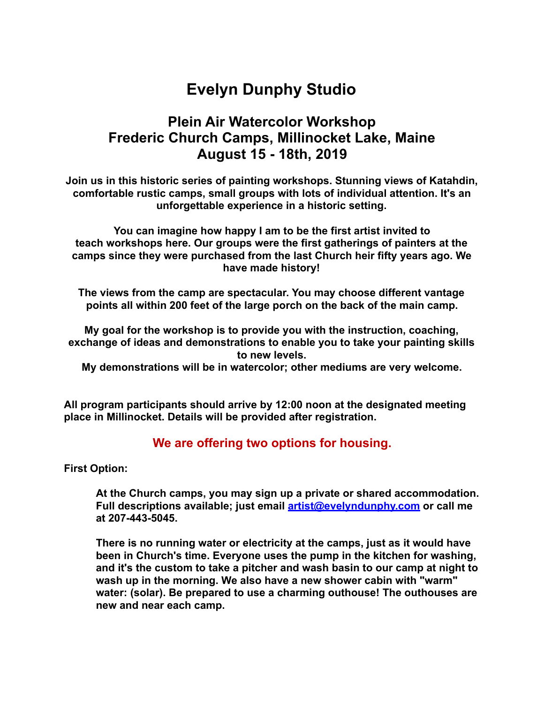# **Evelyn Dunphy Studio**

## **Plein Air Watercolor Workshop Frederic Church Camps, Millinocket Lake, Maine August 15 - 18th, 2019**

**Join us in this historic series of painting workshops. Stunning views of Katahdin, comfortable rustic camps, small groups with lots of individual attention. It's an unforgettable experience in a historic setting.** 

**You can imagine how happy I am to be the first artist invited to teach workshops here. Our groups were the first gatherings of painters at the camps since they were purchased from the last Church heir fifty years ago. We have made history!** 

**The views from the camp are spectacular. You may choose different vantage points all within 200 feet of the large porch on the back of the main camp.** 

**My goal for the workshop is to provide you with the instruction, coaching, exchange of ideas and demonstrations to enable you to take your painting skills to new levels.** 

**My demonstrations will be in watercolor; other mediums are very welcome.** 

**All program participants should arrive by 12:00 noon at the designated meeting place in Millinocket. Details will be provided after registration.**

#### **We are offering two options for housing.**

**First Option:** 

**At the Church camps, you may sign up a private or shared accommodation. Full descriptions available; just email [artist@evelyndunphy.com](mailto:artist@evelyndunphy.com) or call me at 207-443-5045.**

**There is no running water or electricity at the camps, just as it would have been in Church's time. Everyone uses the pump in the kitchen for washing, and it's the custom to take a pitcher and wash basin to our camp at night to wash up in the morning. We also have a new shower cabin with "warm" water: (solar). Be prepared to use a charming outhouse! The outhouses are new and near each camp.**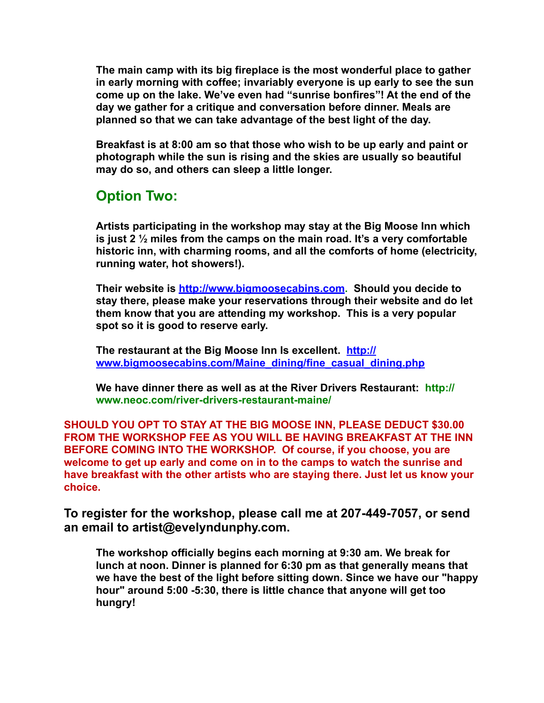**The main camp with its big fireplace is the most wonderful place to gather in early morning with coffee; invariably everyone is up early to see the sun come up on the lake. We've even had "sunrise bonfires"! At the end of the day we gather for a critique and conversation before dinner. Meals are planned so that we can take advantage of the best light of the day.** 

**Breakfast is at 8:00 am so that those who wish to be up early and paint or photograph while the sun is rising and the skies are usually so beautiful may do so, and others can sleep a little longer.** 

# **Option Two:**

**Artists participating in the workshop may stay at the Big Moose Inn which is just 2 ½ miles from the camps on the main road. It's a very comfortable historic inn, with charming rooms, and all the comforts of home (electricity, running water, hot showers!).** 

**Their website is<http://www.bigmoosecabins.com>. Should you decide to stay there, please make your reservations through their website and do let them know that you are attending my workshop. This is a very popular spot so it is good to reserve early.** 

**The restaurant at the Big Moose Inn Is excellent. [http://](http://www.bigmoosecabins.com/Maine_dining/fine_casual_dining.php) [www.bigmoosecabins.com/Maine\\_dining/fine\\_casual\\_dining.php](http://www.bigmoosecabins.com/Maine_dining/fine_casual_dining.php)**

**We have dinner there as well as at the River Drivers Restaurant: http:// www.neoc.com/river-drivers-restaurant-maine/** 

**SHOULD YOU OPT TO STAY AT THE BIG MOOSE INN, PLEASE DEDUCT \$30.00 FROM THE WORKSHOP FEE AS YOU WILL BE HAVING BREAKFAST AT THE INN BEFORE COMING INTO THE WORKSHOP. Of course, if you choose, you are welcome to get up early and come on in to the camps to watch the sunrise and have breakfast with the other artists who are staying there. Just let us know your choice.** 

**To register for the workshop, please call me at 207-449-7057, or send an email to artist@evelyndunphy.com.**

**The workshop officially begins each morning at 9:30 am. We break for lunch at noon. Dinner is planned for 6:30 pm as that generally means that we have the best of the light before sitting down. Since we have our "happy hour" around 5:00 -5:30, there is little chance that anyone will get too hungry!**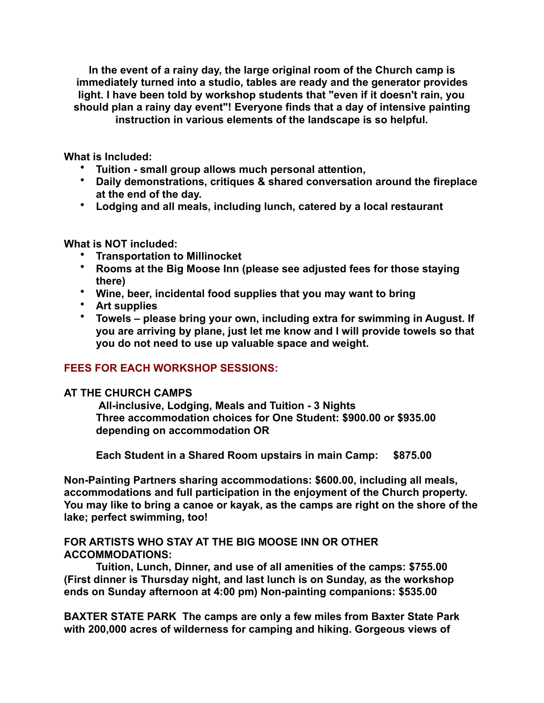**In the event of a rainy day, the large original room of the Church camp is immediately turned into a studio, tables are ready and the generator provides light. I have been told by workshop students that "even if it doesn't rain, you should plan a rainy day event"! Everyone finds that a day of intensive painting instruction in various elements of the landscape is so helpful.** 

**What is Included:**

- **Tuition small group allows much personal attention,**
- **Daily demonstrations, critiques & shared conversation around the fireplace at the end of the day.**
- **Lodging and all meals, including lunch, catered by a local restaurant**

#### **What is NOT included:**

- **Transportation to Millinocket**
- **Rooms at the Big Moose Inn (please see adjusted fees for those staying there)**
- **Wine, beer, incidental food supplies that you may want to bring**
- **Art supplies**
- **Towels please bring your own, including extra for swimming in August. If you are arriving by plane, just let me know and I will provide towels so that you do not need to use up valuable space and weight.**

#### **FEES FOR EACH WORKSHOP SESSIONS:**

#### **AT THE CHURCH CAMPS**

 **All-inclusive, Lodging, Meals and Tuition - 3 Nights Three accommodation choices for One Student: \$900.00 or \$935.00 depending on accommodation OR** 

**Each Student in a Shared Room upstairs in main Camp: \$875.00** 

**Non-Painting Partners sharing accommodations: \$600.00, including all meals, accommodations and full participation in the enjoyment of the Church property. You may like to bring a canoe or kayak, as the camps are right on the shore of the lake; perfect swimming, too!** 

#### **FOR ARTISTS WHO STAY AT THE BIG MOOSE INN OR OTHER ACCOMMODATIONS:**

 **Tuition, Lunch, Dinner, and use of all amenities of the camps: \$755.00 (First dinner is Thursday night, and last lunch is on Sunday, as the workshop ends on Sunday afternoon at 4:00 pm) Non-painting companions: \$535.00** 

**BAXTER STATE PARK The camps are only a few miles from Baxter State Park with 200,000 acres of wilderness for camping and hiking. Gorgeous views of**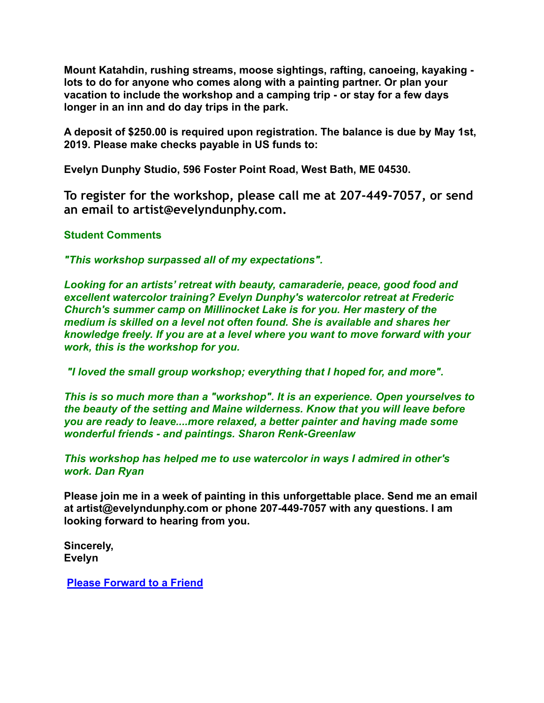**Mount Katahdin, rushing streams, moose sightings, rafting, canoeing, kayaking lots to do for anyone who comes along with a painting partner. Or plan your vacation to include the workshop and a camping trip - or stay for a few days longer in an inn and do day trips in the park.** 

**A deposit of \$250.00 is required upon registration. The balance is due by May 1st, 2019. Please make checks payable in US funds to:** 

**Evelyn Dunphy Studio, 596 Foster Point Road, West Bath, ME 04530.** 

**To register for the workshop, please call me at 207-449-7057, or send an email to artist@evelyndunphy.com.**

#### **Student Comments**

*"This workshop surpassed all of my expectations".*

*Looking for an artists' retreat with beauty, camaraderie, peace, good food and excellent watercolor training? Evelyn Dunphy's watercolor retreat at Frederic Church's summer camp on Millinocket Lake is for you. Her mastery of the medium is skilled on a level not often found. She is available and shares her knowledge freely. If you are at a level where you want to move forward with your work, this is the workshop for you.*

*"I loved the small group workshop; everything that I hoped for, and more".*

*This is so much more than a "workshop". It is an experience. Open yourselves to the beauty of the setting and Maine wilderness. Know that you will leave before you are ready to leave....more relaxed, a better painter and having made some wonderful friends - and paintings. Sharon Renk-Greenlaw* 

*This workshop has helped me to use watercolor in ways I admired in other's work. Dan Ryan*

**Please join me in a week of painting in this unforgettable place. Send me an email at artist@evelyndunphy.com or phone 207-449-7057 with any questions. I am looking forward to hearing from you.** 

**Sincerely, Evelyn** 

**[Please Forward to a Friend](http://ui.constantcontact.com/sa/fwtf.jsp?m=$ACCOUNT.UID$&a=$AGENT.AGENT_UID$&ea=$SUBSCRIBER.EMAIL$)**